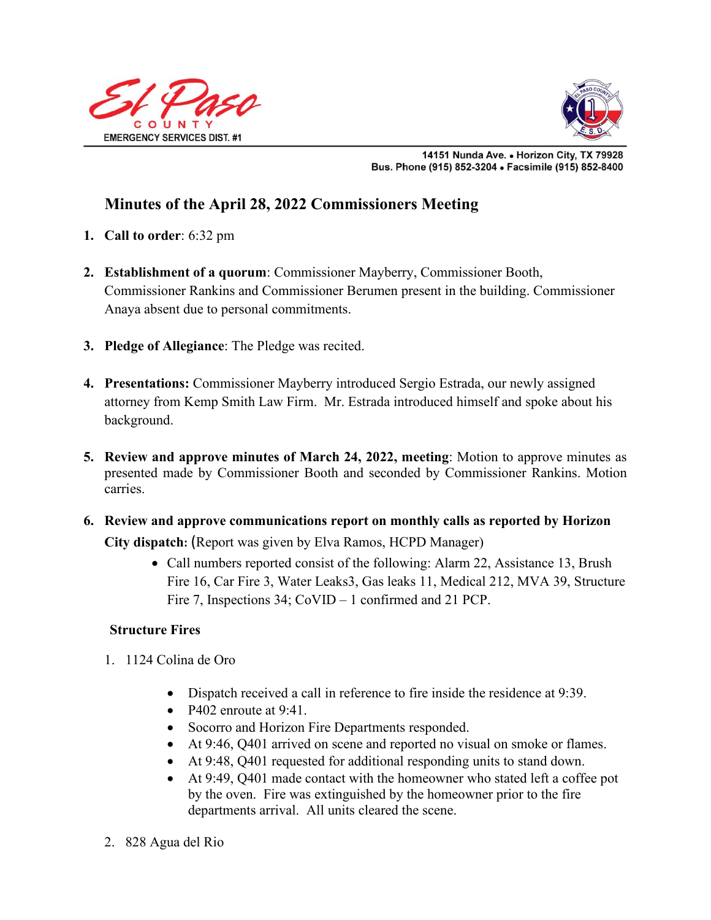



14151 Nunda Ave. . Horizon City, TX 79928 Bus. Phone (915) 852-3204 . Facsimile (915) 852-8400

# **Minutes of the April 28, 2022 Commissioners Meeting**

- **1. Call to order**: 6:32 pm
- **2. Establishment of a quorum**: Commissioner Mayberry, Commissioner Booth, Commissioner Rankins and Commissioner Berumen present in the building. Commissioner Anaya absent due to personal commitments.
- **3. Pledge of Allegiance**: The Pledge was recited.
- **4. Presentations:** Commissioner Mayberry introduced Sergio Estrada, our newly assigned attorney from Kemp Smith Law Firm. Mr. Estrada introduced himself and spoke about his background.
- **5. Review and approve minutes of March 24, 2022, meeting**: Motion to approve minutes as presented made by Commissioner Booth and seconded by Commissioner Rankins. Motion carries.
- **6. Review and approve communications report on monthly calls as reported by Horizon City dispatch:** (Report was given by Elva Ramos, HCPD Manager)
	- Call numbers reported consist of the following: Alarm 22, Assistance 13, Brush Fire 16, Car Fire 3, Water Leaks3, Gas leaks 11, Medical 212, MVA 39, Structure Fire 7, Inspections 34; CoVID – 1 confirmed and 21 PCP.

# **Structure Fires**

- 1. 1124 Colina de Oro
	- Dispatch received a call in reference to fire inside the residence at 9:39.
	- P402 enroute at  $9:41$ .
	- Socorro and Horizon Fire Departments responded.
	- At 9:46, Q401 arrived on scene and reported no visual on smoke or flames.
	- At 9:48, Q401 requested for additional responding units to stand down.
	- At 9:49, Q401 made contact with the homeowner who stated left a coffee pot by the oven. Fire was extinguished by the homeowner prior to the fire departments arrival. All units cleared the scene.
- 2. 828 Agua del Rio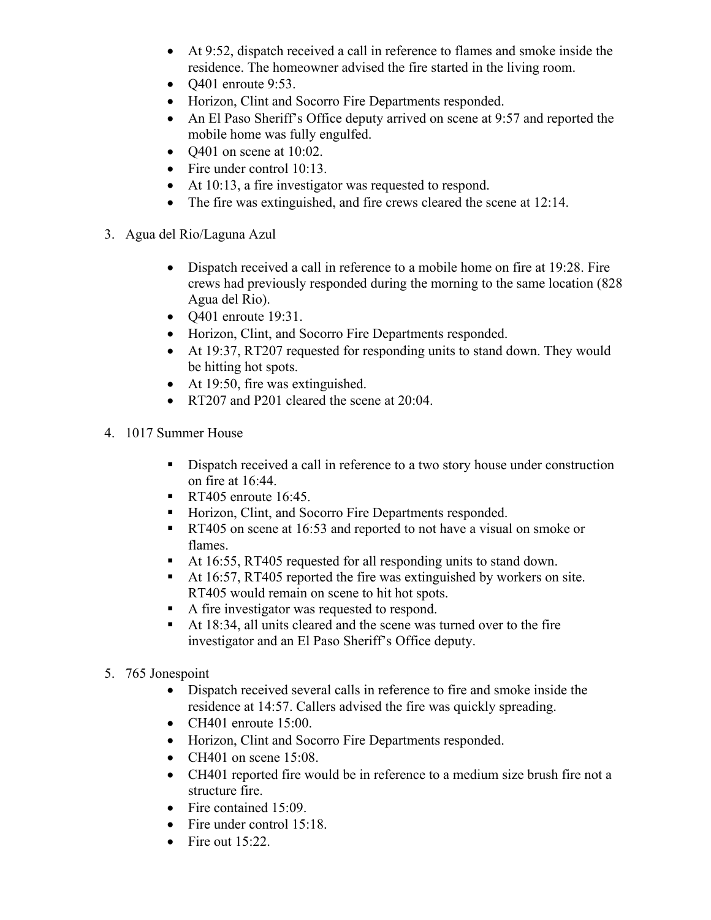- At 9:52, dispatch received a call in reference to flames and smoke inside the residence. The homeowner advised the fire started in the living room.
- $\bullet$  O401 enroute 9:53.
- Horizon, Clint and Socorro Fire Departments responded.
- An El Paso Sheriff's Office deputy arrived on scene at 9:57 and reported the mobile home was fully engulfed.
- $Q401$  on scene at 10:02.
- Fire under control 10:13.
- At 10:13, a fire investigator was requested to respond.
- The fire was extinguished, and fire crews cleared the scene at 12:14.
- 3. Agua del Rio/Laguna Azul
	- Dispatch received a call in reference to a mobile home on fire at 19:28. Fire crews had previously responded during the morning to the same location (828 Agua del Rio).
	- Q401 enroute 19:31.
	- Horizon, Clint, and Socorro Fire Departments responded.
	- At 19:37, RT207 requested for responding units to stand down. They would be hitting hot spots.
	- At 19:50, fire was extinguished.
	- RT207 and P201 cleared the scene at 20:04.
- 4. 1017 Summer House
	- Dispatch received a call in reference to a two story house under construction on fire at 16:44.
	- RT405 enroute  $16:45$ .
	- Horizon, Clint, and Socorro Fire Departments responded.
	- **RT405** on scene at 16:53 and reported to not have a visual on smoke or flames.
	- At 16:55, RT405 requested for all responding units to stand down.
	- At 16:57, RT405 reported the fire was extinguished by workers on site. RT405 would remain on scene to hit hot spots.
	- A fire investigator was requested to respond.
	- At 18:34, all units cleared and the scene was turned over to the fire investigator and an El Paso Sheriff's Office deputy.
- 5. 765 Jonespoint
	- Dispatch received several calls in reference to fire and smoke inside the residence at 14:57. Callers advised the fire was quickly spreading.
	- CH401 enroute 15:00.
	- Horizon, Clint and Socorro Fire Departments responded.
	- CH401 on scene  $15:08$ .
	- CH401 reported fire would be in reference to a medium size brush fire not a structure fire.
	- Fire contained 15:09.
	- Fire under control 15:18.
	- Fire out  $15:22$ .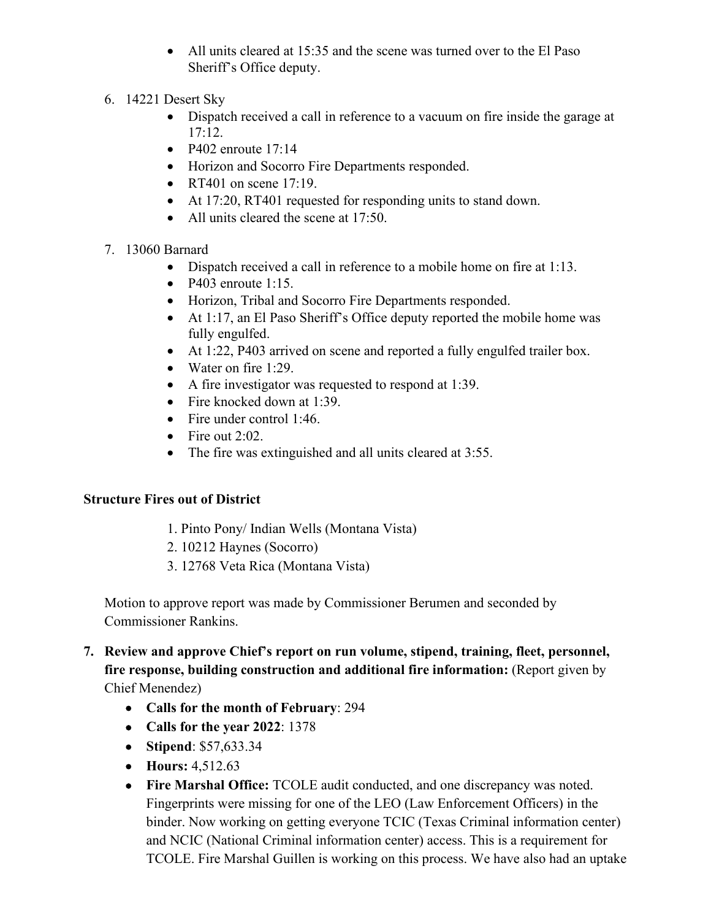- All units cleared at 15:35 and the scene was turned over to the El Paso Sheriff's Office deputy.
- 6. 14221 Desert Sky
	- Dispatch received a call in reference to a vacuum on fire inside the garage at 17:12.
	- P402 enroute  $17:14$
	- Horizon and Socorro Fire Departments responded.
	- RT401 on scene 17:19.
	- At 17:20, RT401 requested for responding units to stand down.
	- All units cleared the scene at 17:50.

## 7. 13060 Barnard

- Dispatch received a call in reference to a mobile home on fire at 1:13.
- P403 enroute 1:15.
- Horizon, Tribal and Socorro Fire Departments responded.
- At 1:17, an El Paso Sheriff's Office deputy reported the mobile home was fully engulfed.
- At 1:22, P403 arrived on scene and reported a fully engulfed trailer box.
- Water on fire 1:29.
- A fire investigator was requested to respond at 1:39.
- Fire knocked down at 1:39.
- Fire under control 1:46.
- Fire out  $2:02$ .
- The fire was extinguished and all units cleared at 3:55.

#### **Structure Fires out of District**

- 1. Pinto Pony/ Indian Wells (Montana Vista)
- 2. 10212 Haynes (Socorro)
- 3. 12768 Veta Rica (Montana Vista)

Motion to approve report was made by Commissioner Berumen and seconded by Commissioner Rankins.

- **7. Review and approve Chief's report on run volume, stipend, training, fleet, personnel, fire response, building construction and additional fire information:** (Report given by Chief Menendez)
	- **Calls for the month of February**: 294
	- **Calls for the year 2022**: 1378
	- **Stipend**: \$57,633.34
	- **Hours:** 4,512.63
	- **Fire Marshal Office:** TCOLE audit conducted, and one discrepancy was noted. Fingerprints were missing for one of the LEO (Law Enforcement Officers) in the binder. Now working on getting everyone TCIC (Texas Criminal information center) and NCIC (National Criminal information center) access. This is a requirement for TCOLE. Fire Marshal Guillen is working on this process. We have also had an uptake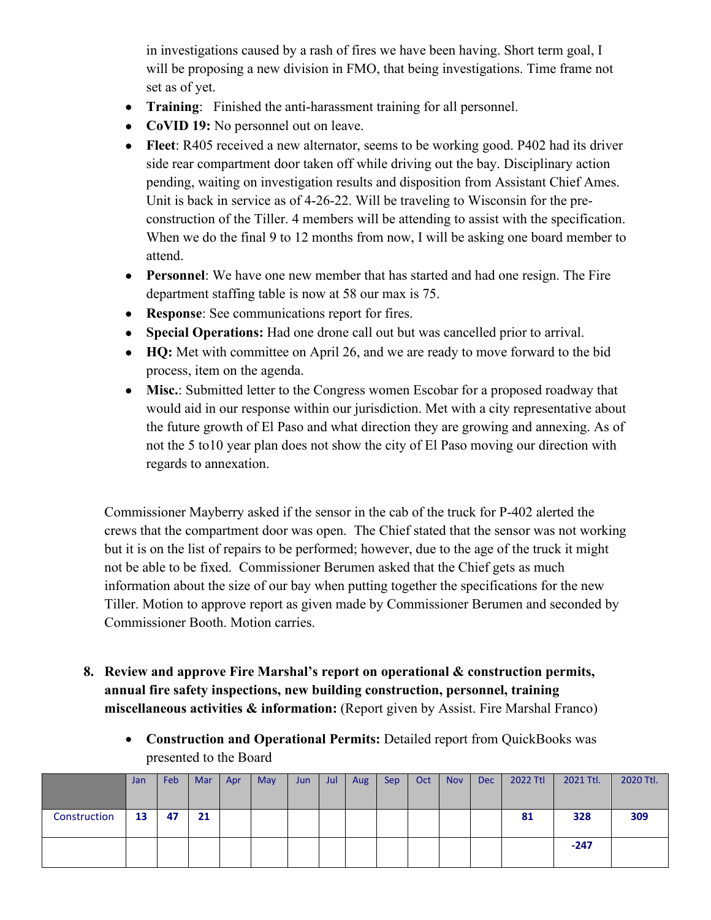in investigations caused by a rash of fires we have been having. Short term goal, I will be proposing a new division in FMO, that being investigations. Time frame not set as of yet.

- **Training**: Finished the anti-harassment training for all personnel.
- **CoVID 19:** No personnel out on leave.
- **Fleet**: R405 received a new alternator, seems to be working good. P402 had its driver side rear compartment door taken off while driving out the bay. Disciplinary action pending, waiting on investigation results and disposition from Assistant Chief Ames. Unit is back in service as of 4-26-22. Will be traveling to Wisconsin for the preconstruction of the Tiller. 4 members will be attending to assist with the specification. When we do the final 9 to 12 months from now, I will be asking one board member to attend.
- **Personnel**: We have one new member that has started and had one resign. The Fire department staffing table is now at 58 our max is 75.
- **Response**: See communications report for fires.
- **Special Operations:** Had one drone call out but was cancelled prior to arrival.
- **HQ:** Met with committee on April 26, and we are ready to move forward to the bid process, item on the agenda.
- Misc.: Submitted letter to the Congress women Escobar for a proposed roadway that would aid in our response within our jurisdiction. Met with a city representative about the future growth of El Paso and what direction they are growing and annexing. As of not the 5 to10 year plan does not show the city of El Paso moving our direction with regards to annexation.

Commissioner Mayberry asked if the sensor in the cab of the truck for P-402 alerted the crews that the compartment door was open. The Chief stated that the sensor was not working but it is on the list of repairs to be performed; however, due to the age of the truck it might not be able to be fixed. Commissioner Berumen asked that the Chief gets as much information about the size of our bay when putting together the specifications for the new Tiller. Motion to approve report as given made by Commissioner Berumen and seconded by Commissioner Booth. Motion carries.

- **8. Review and approve Fire Marshal's report on operational & construction permits, annual fire safety inspections, new building construction, personnel, training miscellaneous activities & information:** (Report given by Assist. Fire Marshal Franco)
	- **Construction and Operational Permits:** Detailed report from QuickBooks was presented to the Board

|              | Jan | Feb | Mar | Apr | May | Jun | Jul | Aug | <b>Sep</b> | Oct | <b>Nov</b> | <b>Dec</b> | 2022 Ttl | 2021 Ttl. | 2020 Ttl. |
|--------------|-----|-----|-----|-----|-----|-----|-----|-----|------------|-----|------------|------------|----------|-----------|-----------|
| Construction | 13  | 47  | 21  |     |     |     |     |     |            |     |            |            | 81       | 328       | 309       |
|              |     |     |     |     |     |     |     |     |            |     |            |            |          | $-247$    |           |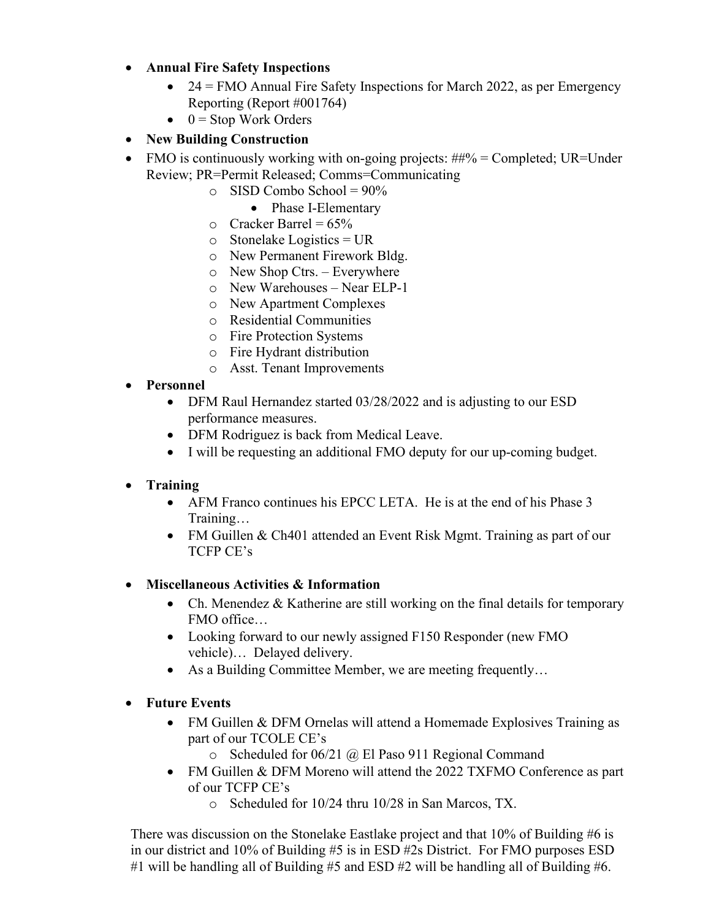## • **Annual Fire Safety Inspections**

- $24 =$  FMO Annual Fire Safety Inspections for March 2022, as per Emergency Reporting (Report #001764)
- $\bullet$  0 = Stop Work Orders
- **New Building Construction**
- FMO is continuously working with on-going projects:  $\#4\%$  = Completed; UR=Under Review; PR=Permit Released; Comms=Communicating
	- $\circ$  SISD Combo School = 90%
		- Phase I-Elementary
	- $\circ$  Cracker Barrel = 65%
	- $\circ$  Stonelake Logistics = UR
	- o New Permanent Firework Bldg.
	- o New Shop Ctrs. Everywhere
	- o New Warehouses Near ELP-1
	- o New Apartment Complexes
	- o Residential Communities
	- o Fire Protection Systems
	- o Fire Hydrant distribution
	- o Asst. Tenant Improvements
- **Personnel**
	- DFM Raul Hernandez started 03/28/2022 and is adjusting to our ESD performance measures.
	- DFM Rodriguez is back from Medical Leave.
	- I will be requesting an additional FMO deputy for our up-coming budget.

# • **Training**

- AFM Franco continues his EPCC LETA. He is at the end of his Phase 3 Training…
- FM Guillen & Ch401 attended an Event Risk Mgmt. Training as part of our TCFP CE's

# • **Miscellaneous Activities & Information**

- Ch. Menendez & Katherine are still working on the final details for temporary FMO office…
- Looking forward to our newly assigned F150 Responder (new FMO vehicle)… Delayed delivery.
- As a Building Committee Member, we are meeting frequently...
- **Future Events**
	- FM Guillen & DFM Ornelas will attend a Homemade Explosives Training as part of our TCOLE CE's
		- o Scheduled for 06/21 @ El Paso 911 Regional Command
	- FM Guillen & DFM Moreno will attend the 2022 TXFMO Conference as part of our TCFP CE's
		- o Scheduled for 10/24 thru 10/28 in San Marcos, TX.

There was discussion on the Stonelake Eastlake project and that 10% of Building #6 is in our district and 10% of Building #5 is in ESD #2s District. For FMO purposes ESD #1 will be handling all of Building #5 and ESD #2 will be handling all of Building #6.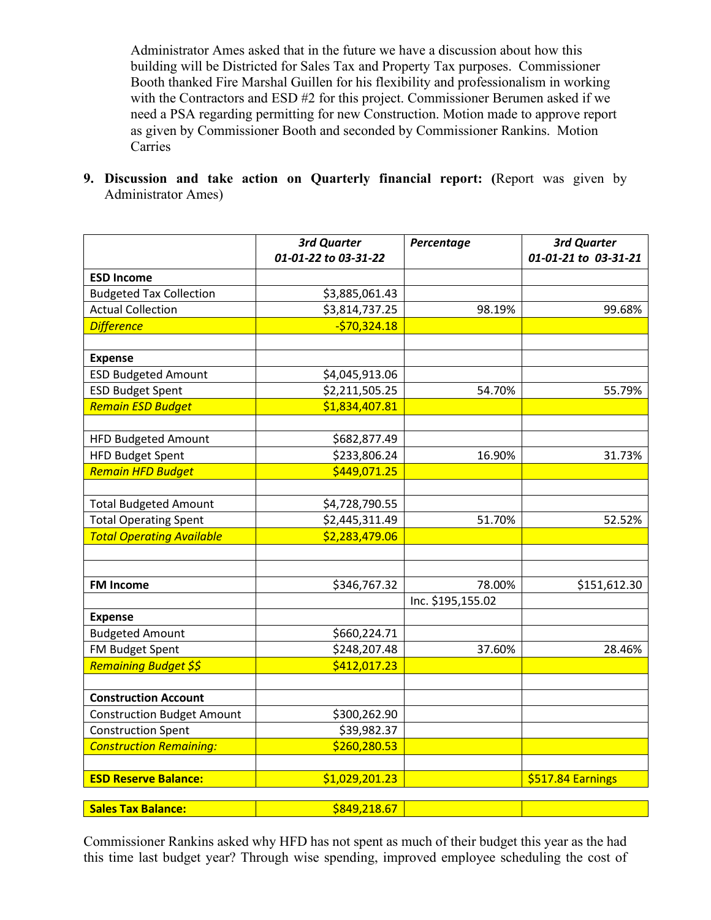Administrator Ames asked that in the future we have a discussion about how this building will be Districted for Sales Tax and Property Tax purposes. Commissioner Booth thanked Fire Marshal Guillen for his flexibility and professionalism in working with the Contractors and ESD #2 for this project. Commissioner Berumen asked if we need a PSA regarding permitting for new Construction. Motion made to approve report as given by Commissioner Booth and seconded by Commissioner Rankins. Motion Carries

**9. Discussion and take action on Quarterly financial report: (**Report was given by Administrator Ames)

|                                   | <b>3rd Quarter</b><br>01-01-22 to 03-31-22 | Percentage        | 3rd Quarter<br>01-01-21 to 03-31-21 |
|-----------------------------------|--------------------------------------------|-------------------|-------------------------------------|
|                                   |                                            |                   |                                     |
| <b>ESD Income</b>                 |                                            |                   |                                     |
| <b>Budgeted Tax Collection</b>    | \$3,885,061.43                             |                   |                                     |
| <b>Actual Collection</b>          | \$3,814,737.25                             | 98.19%            | 99.68%                              |
| <b>Difference</b>                 | $-570,324.18$                              |                   |                                     |
|                                   |                                            |                   |                                     |
| <b>Expense</b>                    |                                            |                   |                                     |
| <b>ESD Budgeted Amount</b>        | \$4,045,913.06                             |                   |                                     |
| <b>ESD Budget Spent</b>           | \$2,211,505.25                             | 54.70%            | 55.79%                              |
| <b>Remain ESD Budget</b>          | \$1,834,407.81                             |                   |                                     |
|                                   |                                            |                   |                                     |
| HFD Budgeted Amount               | \$682,877.49                               |                   |                                     |
| <b>HFD Budget Spent</b>           | \$233,806.24                               | 16.90%            | 31.73%                              |
| <b>Remain HFD Budget</b>          | \$449,071.25                               |                   |                                     |
|                                   |                                            |                   |                                     |
| <b>Total Budgeted Amount</b>      | \$4,728,790.55                             |                   |                                     |
| <b>Total Operating Spent</b>      | \$2,445,311.49                             | 51.70%            | 52.52%                              |
| <b>Total Operating Available</b>  | \$2,283,479.06                             |                   |                                     |
|                                   |                                            |                   |                                     |
|                                   |                                            |                   |                                     |
| <b>FM Income</b>                  | \$346,767.32                               | 78.00%            | \$151,612.30                        |
|                                   |                                            | Inc. \$195,155.02 |                                     |
| <b>Expense</b>                    |                                            |                   |                                     |
| <b>Budgeted Amount</b>            | \$660,224.71                               |                   |                                     |
| FM Budget Spent                   | \$248,207.48                               | 37.60%            | 28.46%                              |
| Remaining Budget \$\$             | \$412,017.23                               |                   |                                     |
|                                   |                                            |                   |                                     |
| <b>Construction Account</b>       |                                            |                   |                                     |
| <b>Construction Budget Amount</b> | \$300,262.90                               |                   |                                     |
| <b>Construction Spent</b>         | \$39,982.37                                |                   |                                     |
| <b>Construction Remaining:</b>    | \$260,280.53                               |                   |                                     |
|                                   |                                            |                   |                                     |
| <b>ESD Reserve Balance:</b>       | \$1,029,201.23                             |                   | \$517.84 Earnings                   |
|                                   |                                            |                   |                                     |
| <b>Sales Tax Balance:</b>         | \$849,218.67                               |                   |                                     |

Commissioner Rankins asked why HFD has not spent as much of their budget this year as the had this time last budget year? Through wise spending, improved employee scheduling the cost of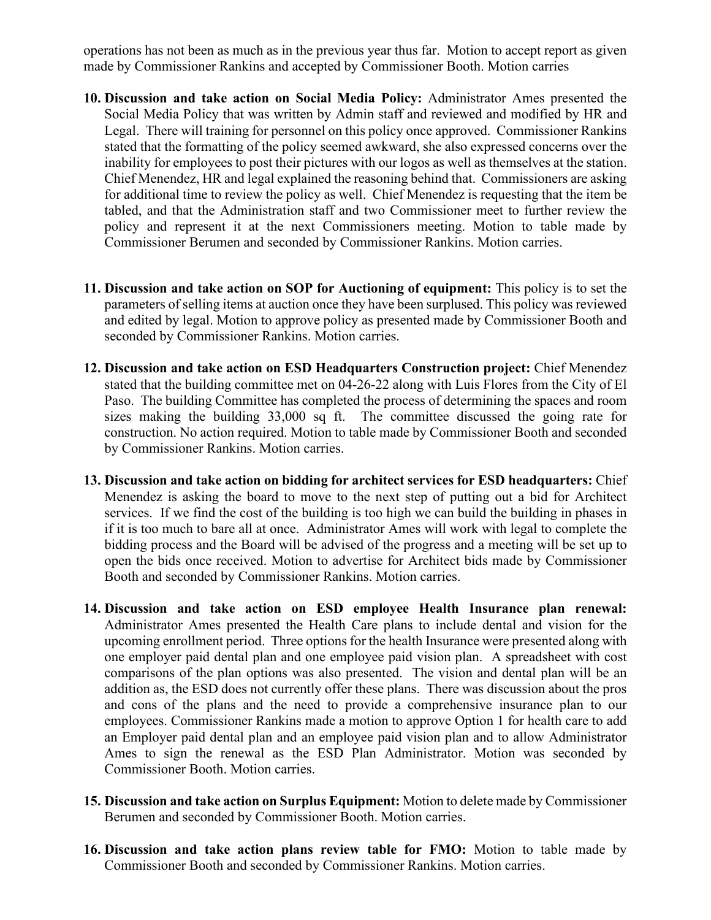operations has not been as much as in the previous year thus far. Motion to accept report as given made by Commissioner Rankins and accepted by Commissioner Booth. Motion carries

- **10. Discussion and take action on Social Media Policy:** Administrator Ames presented the Social Media Policy that was written by Admin staff and reviewed and modified by HR and Legal. There will training for personnel on this policy once approved. Commissioner Rankins stated that the formatting of the policy seemed awkward, she also expressed concerns over the inability for employees to post their pictures with our logos as well as themselves at the station. Chief Menendez, HR and legal explained the reasoning behind that. Commissioners are asking for additional time to review the policy as well. Chief Menendez is requesting that the item be tabled, and that the Administration staff and two Commissioner meet to further review the policy and represent it at the next Commissioners meeting. Motion to table made by Commissioner Berumen and seconded by Commissioner Rankins. Motion carries.
- **11. Discussion and take action on SOP for Auctioning of equipment:** This policy is to set the parameters of selling items at auction once they have been surplused. This policy was reviewed and edited by legal. Motion to approve policy as presented made by Commissioner Booth and seconded by Commissioner Rankins. Motion carries.
- **12. Discussion and take action on ESD Headquarters Construction project:** Chief Menendez stated that the building committee met on 04-26-22 along with Luis Flores from the City of El Paso. The building Committee has completed the process of determining the spaces and room sizes making the building 33,000 sq ft. The committee discussed the going rate for construction. No action required. Motion to table made by Commissioner Booth and seconded by Commissioner Rankins. Motion carries.
- **13. Discussion and take action on bidding for architect services for ESD headquarters:** Chief Menendez is asking the board to move to the next step of putting out a bid for Architect services. If we find the cost of the building is too high we can build the building in phases in if it is too much to bare all at once. Administrator Ames will work with legal to complete the bidding process and the Board will be advised of the progress and a meeting will be set up to open the bids once received. Motion to advertise for Architect bids made by Commissioner Booth and seconded by Commissioner Rankins. Motion carries.
- **14. Discussion and take action on ESD employee Health Insurance plan renewal:** Administrator Ames presented the Health Care plans to include dental and vision for the upcoming enrollment period. Three options for the health Insurance were presented along with one employer paid dental plan and one employee paid vision plan. A spreadsheet with cost comparisons of the plan options was also presented. The vision and dental plan will be an addition as, the ESD does not currently offer these plans. There was discussion about the pros and cons of the plans and the need to provide a comprehensive insurance plan to our employees. Commissioner Rankins made a motion to approve Option 1 for health care to add an Employer paid dental plan and an employee paid vision plan and to allow Administrator Ames to sign the renewal as the ESD Plan Administrator. Motion was seconded by Commissioner Booth. Motion carries.
- **15. Discussion and take action on Surplus Equipment:** Motion to delete made by Commissioner Berumen and seconded by Commissioner Booth. Motion carries.
- **16. Discussion and take action plans review table for FMO:** Motion to table made by Commissioner Booth and seconded by Commissioner Rankins. Motion carries.